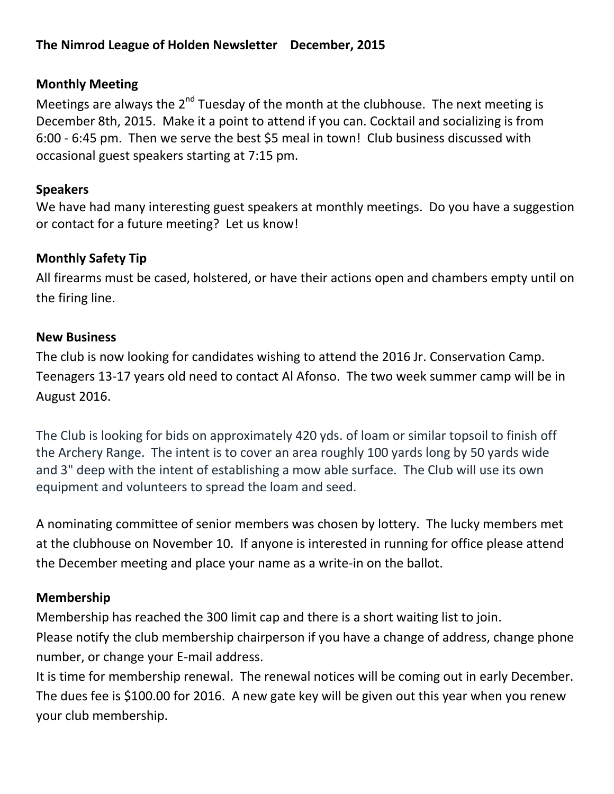### **The Nimrod League of Holden Newsletter December, 2015**

#### **Monthly Meeting**

Meetings are always the 2<sup>nd</sup> Tuesday of the month at the clubhouse. The next meeting is December 8th, 2015. Make it a point to attend if you can. Cocktail and socializing is from 6:00 - 6:45 pm. Then we serve the best \$5 meal in town! Club business discussed with occasional guest speakers starting at 7:15 pm.

#### **Speakers**

We have had many interesting guest speakers at monthly meetings. Do you have a suggestion or contact for a future meeting? Let us know!

#### **Monthly Safety Tip**

All firearms must be cased, holstered, or have their actions open and chambers empty until on the firing line.

#### **New Business**

The club is now looking for candidates wishing to attend the 2016 Jr. Conservation Camp. Teenagers 13-17 years old need to contact Al Afonso. The two week summer camp will be in August 2016.

The Club is looking for bids on approximately 420 yds. of loam or similar topsoil to finish off the Archery Range. The intent is to cover an area roughly 100 yards long by 50 yards wide and 3" deep with the intent of establishing a mow able surface. The Club will use its own equipment and volunteers to spread the loam and seed.

A nominating committee of senior members was chosen by lottery. The lucky members met at the clubhouse on November 10. If anyone is interested in running for office please attend the December meeting and place your name as a write-in on the ballot.

#### **Membership**

Membership has reached the 300 limit cap and there is a short waiting list to join. Please notify the club membership chairperson if you have a change of address, change phone number, or change your E-mail address.

It is time for membership renewal. The renewal notices will be coming out in early December. The dues fee is \$100.00 for 2016. A new gate key will be given out this year when you renew your club membership.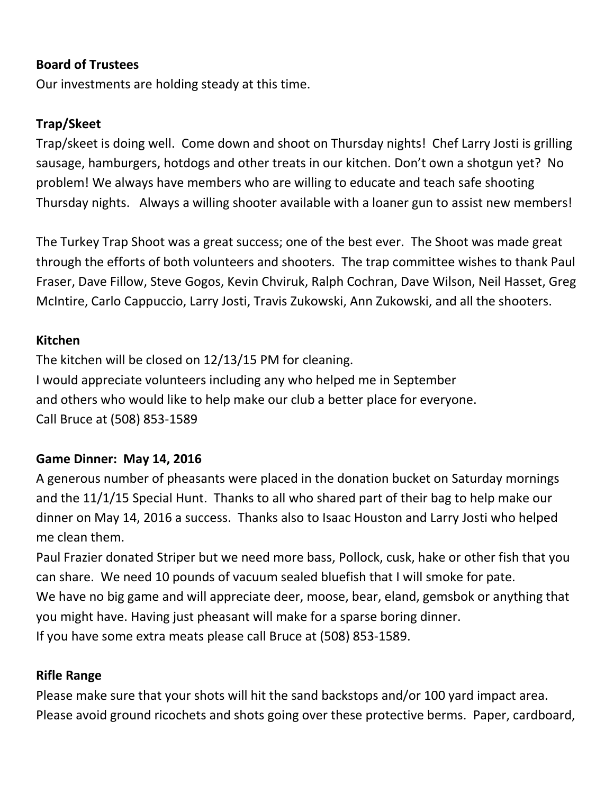### **Board of Trustees**

Our investments are holding steady at this time.

### **Trap/Skeet**

Trap/skeet is doing well. Come down and shoot on Thursday nights! Chef Larry Josti is grilling sausage, hamburgers, hotdogs and other treats in our kitchen. Don't own a shotgun yet? No problem! We always have members who are willing to educate and teach safe shooting Thursday nights. Always a willing shooter available with a loaner gun to assist new members!

The Turkey Trap Shoot was a great success; one of the best ever. The Shoot was made great through the efforts of both volunteers and shooters. The trap committee wishes to thank Paul Fraser, Dave Fillow, Steve Gogos, Kevin Chviruk, Ralph Cochran, Dave Wilson, Neil Hasset, Greg McIntire, Carlo Cappuccio, Larry Josti, Travis Zukowski, Ann Zukowski, and all the shooters.

#### **Kitchen**

The kitchen will be closed on 12/13/15 PM for cleaning. I would appreciate volunteers including any who helped me in September and others who would like to help make our club a better place for everyone. Call Bruce at (508) 853-1589

#### **Game Dinner: May 14, 2016**

A generous number of pheasants were placed in the donation bucket on Saturday mornings and the 11/1/15 Special Hunt. Thanks to all who shared part of their bag to help make our dinner on May 14, 2016 a success. Thanks also to Isaac Houston and Larry Josti who helped me clean them.

Paul Frazier donated Striper but we need more bass, Pollock, cusk, hake or other fish that you can share. We need 10 pounds of vacuum sealed bluefish that I will smoke for pate. We have no big game and will appreciate deer, moose, bear, eland, gemsbok or anything that you might have. Having just pheasant will make for a sparse boring dinner. If you have some extra meats please call Bruce at (508) 853-1589.

#### **Rifle Range**

Please make sure that your shots will hit the sand backstops and/or 100 yard impact area. Please avoid ground ricochets and shots going over these protective berms. Paper, cardboard,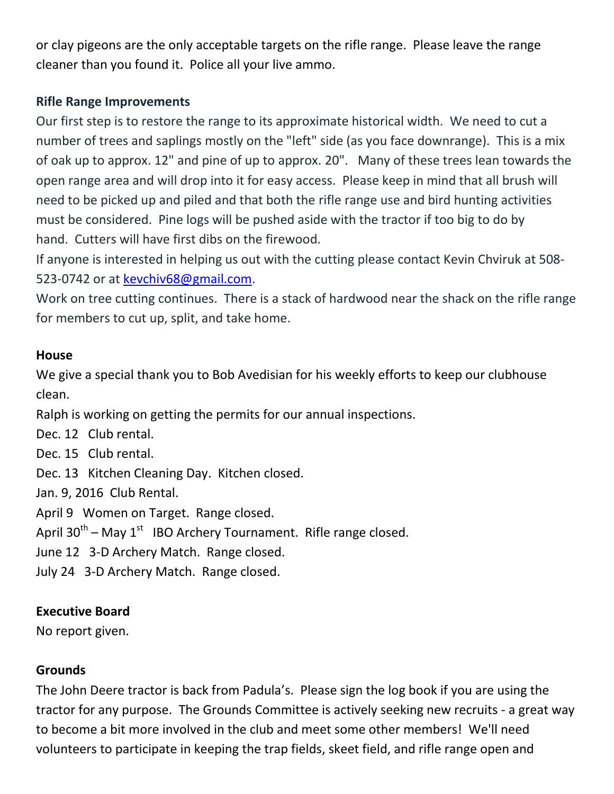or clay pigeons are the only acceptable targets on the rifle range. Please leave the range cleaner than you found it. Police all your live ammo.

## **Rifle Range Improvements**

Our first step is to restore the range to its approximate historical width. We need to cut a number of trees and saplings mostly on the "left" side (as you face downrange). This is a mix of oak up to approx. 12" and pine of up to approx. 20". Many of these trees lean towards the open range area and will drop into it for easy access. Please keep in mind that all brush will need to be picked up and piled and that both the rifle range use and bird hunting activities must be considered. Pine logs will be pushed aside with the tractor if too big to do by hand. Cutters will have first dibs on the firewood.

If anyone is interested in helping us out with the cutting please contact Kevin Chviruk at 508- 523-0742 or at [kevchiv68@gmail.com.](mailto:kevchiv68@gmail.com)

Work on tree cutting continues. There is a stack of hardwood near the shack on the rifle range for members to cut up, split, and take home.

## **House**

We give a special thank you to Bob Avedisian for his weekly efforts to keep our clubhouse clean.

Ralph is working on getting the permits for our annual inspections.

Dec. 12 Club rental.

Dec. 15 Club rental.

Dec. 13 Kitchen Cleaning Day. Kitchen closed.

Jan. 9, 2016 Club Rental.

April 9 Women on Target. Range closed.

April 30<sup>th</sup> – May 1<sup>st</sup> IBO Archery Tournament. Rifle range closed.

June 12 3-D Archery Match. Range closed.

July 24 3-D Archery Match. Range closed.

## **Executive Board**

No report given.

## **Grounds**

The John Deere tractor is back from Padula's. Please sign the log book if you are using the tractor for any purpose. The Grounds Committee is actively seeking new recruits - a great way to become a bit more involved in the club and meet some other members! We'll need volunteers to participate in keeping the trap fields, skeet field, and rifle range open and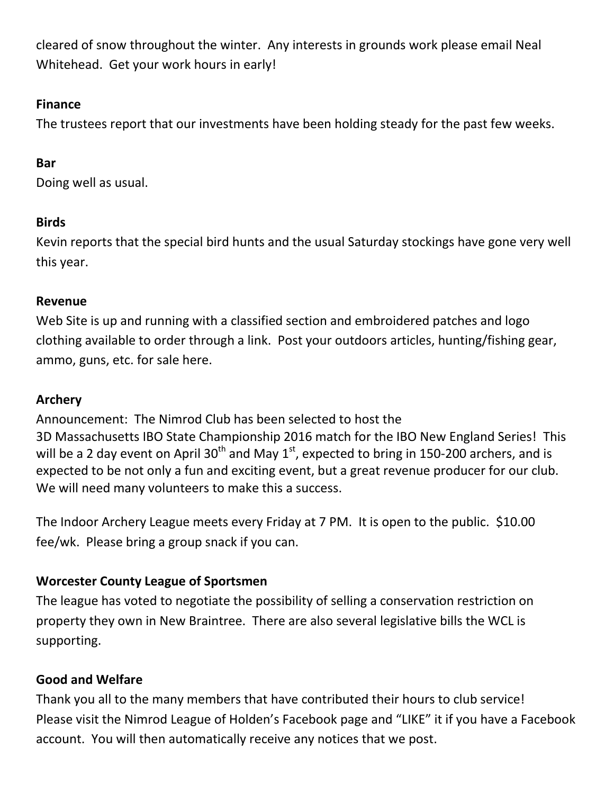cleared of snow throughout the winter. Any interests in grounds work please email Neal Whitehead. Get your work hours in early!

## **Finance**

The trustees report that our investments have been holding steady for the past few weeks.

# **Bar**

Doing well as usual.

# **Birds**

Kevin reports that the special bird hunts and the usual Saturday stockings have gone very well this year.

# **Revenue**

Web Site is up and running with a classified section and embroidered patches and logo clothing available to order through a link. Post your outdoors articles, hunting/fishing gear, ammo, guns, etc. for sale here.

# **Archery**

Announcement: The Nimrod Club has been selected to host the 3D Massachusetts IBO State Championship 2016 match for the IBO New England Series! This will be a 2 day event on April 30<sup>th</sup> and May 1<sup>st</sup>, expected to bring in 150-200 archers, and is expected to be not only a fun and exciting event, but a great revenue producer for our club. We will need many volunteers to make this a success.

The Indoor Archery League meets every Friday at 7 PM. It is open to the public. \$10.00 fee/wk. Please bring a group snack if you can.

# **Worcester County League of Sportsmen**

The league has voted to negotiate the possibility of selling a conservation restriction on property they own in New Braintree. There are also several legislative bills the WCL is supporting.

# **Good and Welfare**

Thank you all to the many members that have contributed their hours to club service! Please visit the Nimrod League of Holden's Facebook page and "LIKE" it if you have a Facebook account. You will then automatically receive any notices that we post.